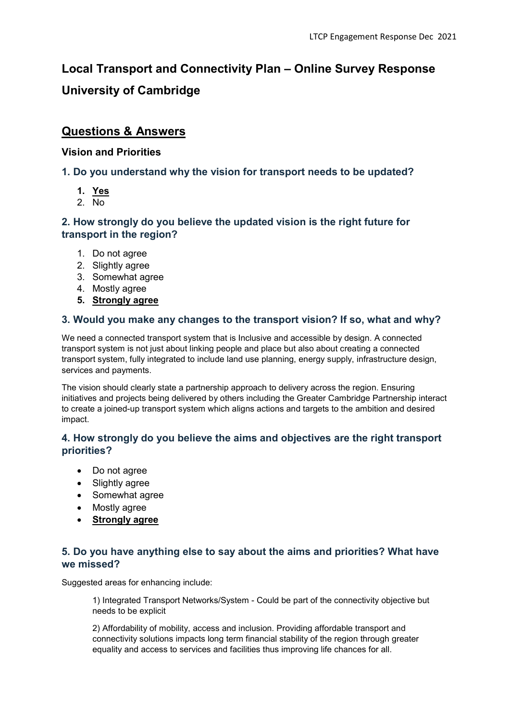# Local Transport and Connectivity Plan – Online Survey Response University of Cambridge

## Questions & Answers

#### Vision and Priorities

### 1. Do you understand why the vision for transport needs to be updated?

- 1. Yes
- 2. No

#### 2. How strongly do you believe the updated vision is the right future for transport in the region?

- 1. Do not agree
- 2. Slightly agree
- 3. Somewhat agree
- 4. Mostly agree
- 5. Strongly agree

#### 3. Would you make any changes to the transport vision? If so, what and why?

We need a connected transport system that is Inclusive and accessible by design. A connected transport system is not just about linking people and place but also about creating a connected transport system, fully integrated to include land use planning, energy supply, infrastructure design, services and payments.

The vision should clearly state a partnership approach to delivery across the region. Ensuring initiatives and projects being delivered by others including the Greater Cambridge Partnership interact to create a joined-up transport system which aligns actions and targets to the ambition and desired impact.

#### 4. How strongly do you believe the aims and objectives are the right transport priorities?

- Do not agree
- Slightly agree
- Somewhat agree
- Mostly agree
- Strongly agree

#### 5. Do you have anything else to say about the aims and priorities? What have we missed?

Suggested areas for enhancing include:

1) Integrated Transport Networks/System - Could be part of the connectivity objective but needs to be explicit

2) Affordability of mobility, access and inclusion. Providing affordable transport and connectivity solutions impacts long term financial stability of the region through greater equality and access to services and facilities thus improving life chances for all.